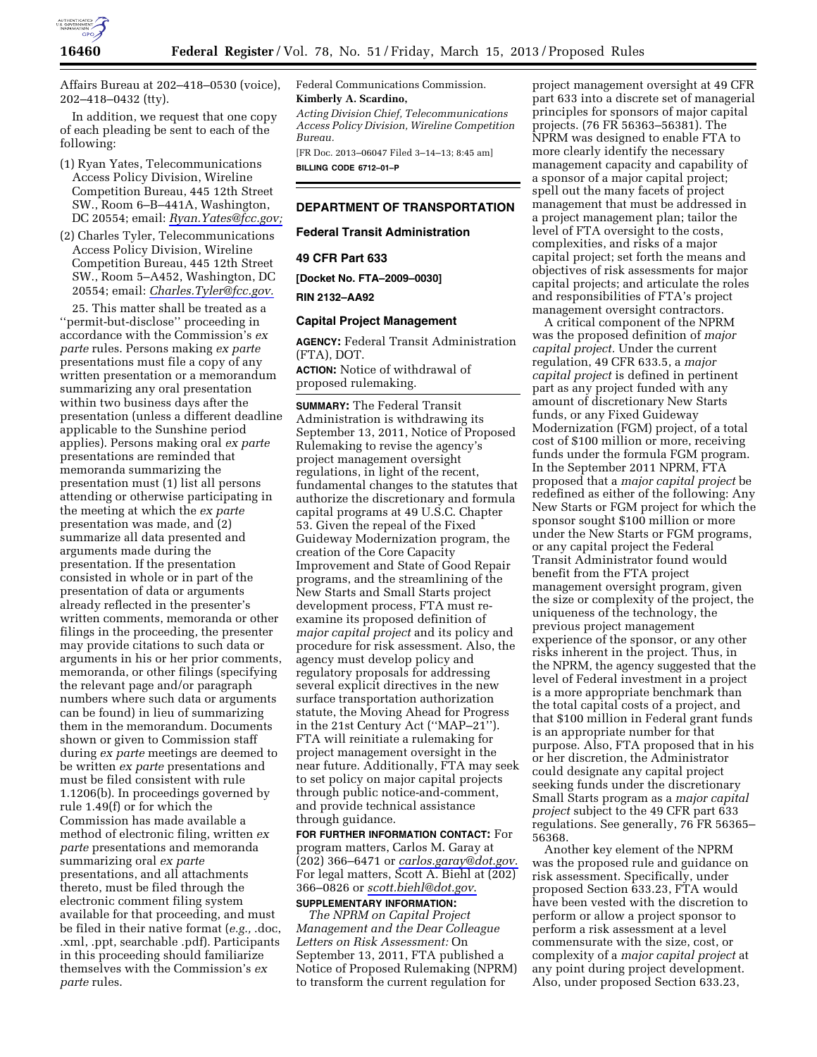

Affairs Bureau at 202–418–0530 (voice), 202–418–0432 (tty).

In addition, we request that one copy of each pleading be sent to each of the following:

- (1) Ryan Yates, Telecommunications Access Policy Division, Wireline Competition Bureau, 445 12th Street SW., Room 6–B–441A, Washington, DC 20554; email: *[Ryan.Yates@fcc.gov;](mailto:Ryan.Yates@fcc.gov)*
- (2) Charles Tyler, Telecommunications Access Policy Division, Wireline Competition Bureau, 445 12th Street SW., Room 5–A452, Washington, DC 20554; email: *[Charles.Tyler@fcc.gov.](mailto:Charles.Tyler@fcc.gov)*

25. This matter shall be treated as a ''permit-but-disclose'' proceeding in accordance with the Commission's *ex parte* rules. Persons making *ex parte*  presentations must file a copy of any written presentation or a memorandum summarizing any oral presentation within two business days after the presentation (unless a different deadline applicable to the Sunshine period applies). Persons making oral *ex parte*  presentations are reminded that memoranda summarizing the presentation must (1) list all persons attending or otherwise participating in the meeting at which the *ex parte*  presentation was made, and (2) summarize all data presented and arguments made during the presentation. If the presentation consisted in whole or in part of the presentation of data or arguments already reflected in the presenter's written comments, memoranda or other filings in the proceeding, the presenter may provide citations to such data or arguments in his or her prior comments, memoranda, or other filings (specifying the relevant page and/or paragraph numbers where such data or arguments can be found) in lieu of summarizing them in the memorandum. Documents shown or given to Commission staff during *ex parte* meetings are deemed to be written *ex parte* presentations and must be filed consistent with rule 1.1206(b). In proceedings governed by rule 1.49(f) or for which the Commission has made available a method of electronic filing, written *ex parte* presentations and memoranda summarizing oral *ex parte*  presentations, and all attachments thereto, must be filed through the electronic comment filing system available for that proceeding, and must be filed in their native format (*e.g.,* .doc, .xml, .ppt, searchable .pdf). Participants in this proceeding should familiarize themselves with the Commission's *ex parte* rules.

Federal Communications Commission. **Kimberly A. Scardino,** 

*Acting Division Chief, Telecommunications Access Policy Division, Wireline Competition Bureau.* 

[FR Doc. 2013–06047 Filed 3–14–13; 8:45 am] **BILLING CODE 6712–01–P** 

# **DEPARTMENT OF TRANSPORTATION**

**Federal Transit Administration** 

### **49 CFR Part 633**

**[Docket No. FTA–2009–0030]** 

#### **RIN 2132–AA92**

# **Capital Project Management**

**AGENCY:** Federal Transit Administration (FTA), DOT.

**ACTION:** Notice of withdrawal of proposed rulemaking.

**SUMMARY:** The Federal Transit Administration is withdrawing its September 13, 2011, Notice of Proposed Rulemaking to revise the agency's project management oversight regulations, in light of the recent, fundamental changes to the statutes that authorize the discretionary and formula capital programs at 49 U.S.C. Chapter 53. Given the repeal of the Fixed Guideway Modernization program, the creation of the Core Capacity Improvement and State of Good Repair programs, and the streamlining of the New Starts and Small Starts project development process, FTA must reexamine its proposed definition of *major capital project* and its policy and procedure for risk assessment. Also, the agency must develop policy and regulatory proposals for addressing several explicit directives in the new surface transportation authorization statute, the Moving Ahead for Progress in the 21st Century Act (''MAP–21''). FTA will reinitiate a rulemaking for project management oversight in the near future. Additionally, FTA may seek to set policy on major capital projects through public notice-and-comment, and provide technical assistance through guidance.

**FOR FURTHER INFORMATION CONTACT:** For program matters, Carlos M. Garay at (202) 366–6471 or *[carlos.garay@dot.gov](mailto:carlos.garay@dot.gov)*. For legal matters, Scott A. Biehl at (202) 366–0826 or *[scott.biehl@dot.gov](mailto:scott.biehl@dot.gov)*. **SUPPLEMENTARY INFORMATION:** 

*The NPRM on Capital Project Management and the Dear Colleague Letters on Risk Assessment:* On September 13, 2011, FTA published a Notice of Proposed Rulemaking (NPRM) to transform the current regulation for

project management oversight at 49 CFR part 633 into a discrete set of managerial principles for sponsors of major capital projects. (76 FR 56363–56381). The NPRM was designed to enable FTA to more clearly identify the necessary management capacity and capability of a sponsor of a major capital project; spell out the many facets of project management that must be addressed in a project management plan; tailor the level of FTA oversight to the costs, complexities, and risks of a major capital project; set forth the means and objectives of risk assessments for major capital projects; and articulate the roles and responsibilities of FTA's project management oversight contractors.

A critical component of the NPRM was the proposed definition of *major capital project.* Under the current regulation, 49 CFR 633.5, a *major capital project* is defined in pertinent part as any project funded with any amount of discretionary New Starts funds, or any Fixed Guideway Modernization (FGM) project, of a total cost of \$100 million or more, receiving funds under the formula FGM program. In the September 2011 NPRM, FTA proposed that a *major capital project* be redefined as either of the following: Any New Starts or FGM project for which the sponsor sought \$100 million or more under the New Starts or FGM programs, or any capital project the Federal Transit Administrator found would benefit from the FTA project management oversight program, given the size or complexity of the project, the uniqueness of the technology, the previous project management experience of the sponsor, or any other risks inherent in the project. Thus, in the NPRM, the agency suggested that the level of Federal investment in a project is a more appropriate benchmark than the total capital costs of a project, and that \$100 million in Federal grant funds is an appropriate number for that purpose. Also, FTA proposed that in his or her discretion, the Administrator could designate any capital project seeking funds under the discretionary Small Starts program as a *major capital project* subject to the 49 CFR part 633 regulations. See generally, 76 FR 56365– 56368.

Another key element of the NPRM was the proposed rule and guidance on risk assessment. Specifically, under proposed Section 633.23, FTA would have been vested with the discretion to perform or allow a project sponsor to perform a risk assessment at a level commensurate with the size, cost, or complexity of a *major capital project* at any point during project development. Also, under proposed Section 633.23,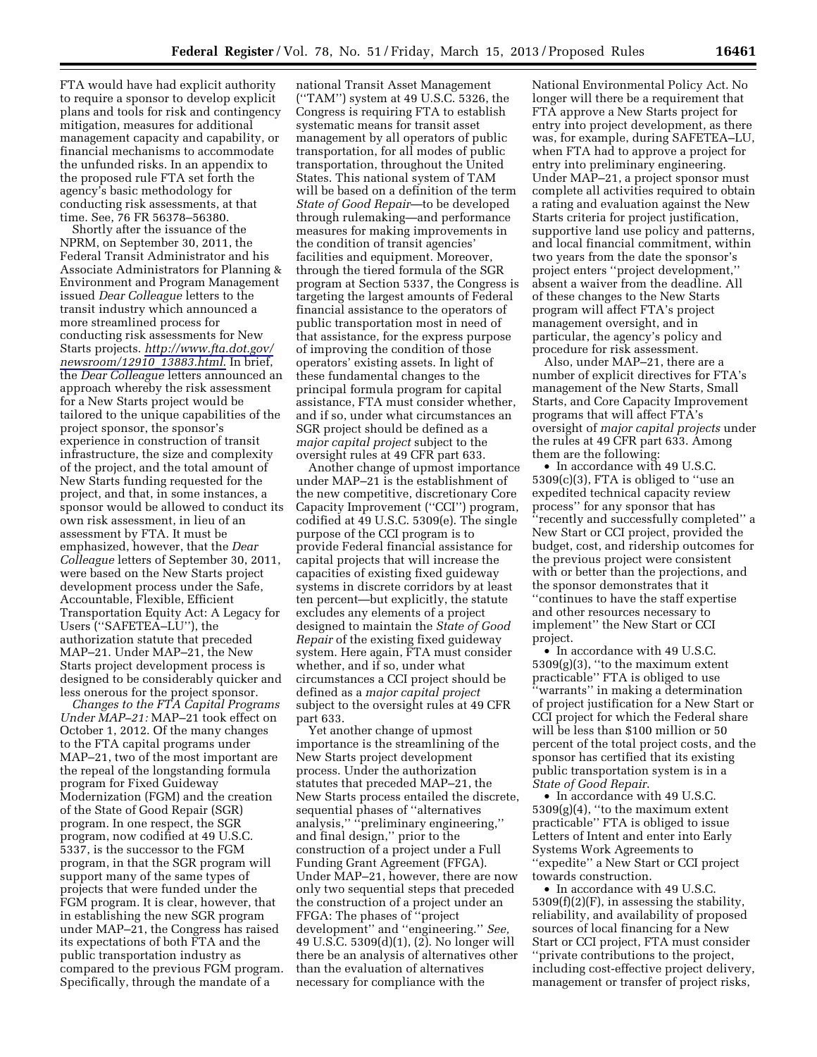FTA would have had explicit authority to require a sponsor to develop explicit plans and tools for risk and contingency mitigation, measures for additional management capacity and capability, or financial mechanisms to accommodate the unfunded risks. In an appendix to the proposed rule FTA set forth the agency's basic methodology for conducting risk assessments, at that time. See, 76 FR 56378–56380.

Shortly after the issuance of the NPRM, on September 30, 2011, the Federal Transit Administrator and his Associate Administrators for Planning & Environment and Program Management issued *Dear Colleague* letters to the transit industry which announced a more streamlined process for conducting risk assessments for New Starts projects. *[http://www.fta.dot.gov/](http://www.fta.dot.gov/newsroom/12910_13883.html) [newsroom/12910](http://www.fta.dot.gov/newsroom/12910_13883.html)*\_*13883.html*. In brief, the *Dear Colleague* letters announced an approach whereby the risk assessment for a New Starts project would be tailored to the unique capabilities of the project sponsor, the sponsor's experience in construction of transit infrastructure, the size and complexity of the project, and the total amount of New Starts funding requested for the project, and that, in some instances, a sponsor would be allowed to conduct its own risk assessment, in lieu of an assessment by FTA. It must be emphasized, however, that the *Dear Colleague* letters of September 30, 2011, were based on the New Starts project development process under the Safe, Accountable, Flexible, Efficient Transportation Equity Act: A Legacy for Users (''SAFETEA–LU''), the authorization statute that preceded MAP–21. Under MAP–21, the New Starts project development process is designed to be considerably quicker and less onerous for the project sponsor.

*Changes to the FTA Capital Programs Under MAP–21:* MAP–21 took effect on October 1, 2012. Of the many changes to the FTA capital programs under MAP–21, two of the most important are the repeal of the longstanding formula program for Fixed Guideway Modernization (FGM) and the creation of the State of Good Repair (SGR) program. In one respect, the SGR program, now codified at 49 U.S.C. 5337, is the successor to the FGM program, in that the SGR program will support many of the same types of projects that were funded under the FGM program. It is clear, however, that in establishing the new SGR program under MAP–21, the Congress has raised its expectations of both FTA and the public transportation industry as compared to the previous FGM program. Specifically, through the mandate of a

national Transit Asset Management (''TAM'') system at 49 U.S.C. 5326, the Congress is requiring FTA to establish systematic means for transit asset management by all operators of public transportation, for all modes of public transportation, throughout the United States. This national system of TAM will be based on a definition of the term *State of Good Repair*—to be developed through rulemaking—and performance measures for making improvements in the condition of transit agencies' facilities and equipment. Moreover, through the tiered formula of the SGR program at Section 5337, the Congress is targeting the largest amounts of Federal financial assistance to the operators of public transportation most in need of that assistance, for the express purpose of improving the condition of those operators' existing assets. In light of these fundamental changes to the principal formula program for capital assistance, FTA must consider whether, and if so, under what circumstances an SGR project should be defined as a *major capital project* subject to the oversight rules at 49 CFR part 633.

Another change of upmost importance under MAP–21 is the establishment of the new competitive, discretionary Core Capacity Improvement (''CCI'') program, codified at 49 U.S.C. 5309(e). The single purpose of the CCI program is to provide Federal financial assistance for capital projects that will increase the capacities of existing fixed guideway systems in discrete corridors by at least ten percent—but explicitly, the statute excludes any elements of a project designed to maintain the *State of Good Repair* of the existing fixed guideway system. Here again, FTA must consider whether, and if so, under what circumstances a CCI project should be defined as a *major capital project*  subject to the oversight rules at 49 CFR part 633.

Yet another change of upmost importance is the streamlining of the New Starts project development process. Under the authorization statutes that preceded MAP–21, the New Starts process entailed the discrete, sequential phases of ''alternatives analysis,'' ''preliminary engineering,'' and final design,'' prior to the construction of a project under a Full Funding Grant Agreement (FFGA). Under MAP–21, however, there are now only two sequential steps that preceded the construction of a project under an FFGA: The phases of ''project development'' and ''engineering.'' *See,*  49 U.S.C. 5309(d)(1), (2). No longer will there be an analysis of alternatives other than the evaluation of alternatives necessary for compliance with the

National Environmental Policy Act. No longer will there be a requirement that FTA approve a New Starts project for entry into project development, as there was, for example, during SAFETEA–LU, when FTA had to approve a project for entry into preliminary engineering. Under MAP–21, a project sponsor must complete all activities required to obtain a rating and evaluation against the New Starts criteria for project justification, supportive land use policy and patterns, and local financial commitment, within two years from the date the sponsor's project enters ''project development,'' absent a waiver from the deadline. All of these changes to the New Starts program will affect FTA's project management oversight, and in particular, the agency's policy and procedure for risk assessment.

Also, under MAP–21, there are a number of explicit directives for FTA's management of the New Starts, Small Starts, and Core Capacity Improvement programs that will affect FTA's oversight of *major capital projects* under the rules at 49 CFR part 633. Among them are the following:

• In accordance with 49 U.S.C. 5309(c)(3), FTA is obliged to ''use an expedited technical capacity review process'' for any sponsor that has ''recently and successfully completed'' a New Start or CCI project, provided the budget, cost, and ridership outcomes for the previous project were consistent with or better than the projections, and the sponsor demonstrates that it ''continues to have the staff expertise and other resources necessary to implement'' the New Start or CCI project.

• In accordance with 49 U.S.C.  $5309(g)(3)$ , "to the maximum extent" practicable'' FTA is obliged to use ''warrants'' in making a determination of project justification for a New Start or CCI project for which the Federal share will be less than \$100 million or 50 percent of the total project costs, and the sponsor has certified that its existing public transportation system is in a *State of Good Repair*.

• In accordance with 49 U.S.C.  $5309(g)(4)$ , "to the maximum extent" practicable'' FTA is obliged to issue Letters of Intent and enter into Early Systems Work Agreements to ''expedite'' a New Start or CCI project towards construction.

• In accordance with 49 U.S.C. 5309(f)(2)(F), in assessing the stability, reliability, and availability of proposed sources of local financing for a New Start or CCI project, FTA must consider ''private contributions to the project, including cost-effective project delivery, management or transfer of project risks,